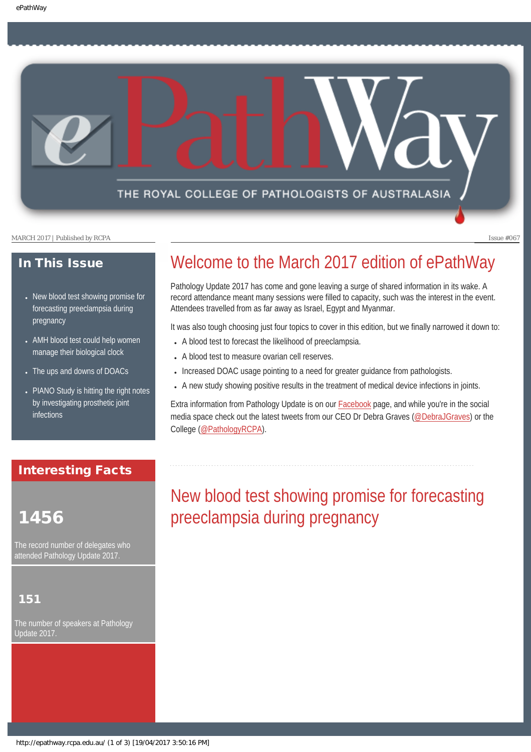### THE ROYAL COLLEGE OF PATHOLOGISTS OF AUSTRALASIA

MARCH 2017 | Published by RCPA **Issue #067** 

### In This Issue

- New blood test showing promise for forecasting preeclampsia during pregnancy
- AMH blood test could help women manage their biological clock
- The ups and downs of DOACs
- PIANO Study is hitting the right notes by investigating prosthetic joint infections

### Interesting Facts

## 1456

The record number of delegates who attended Pathology Update 2017.

### 151

The number of speakers at Pathology Update 2017.

# Welcome to the March 2017 edition of ePathWay

Pathology Update 2017 has come and gone leaving a surge of shared information in its wake. A record attendance meant many sessions were filled to capacity, such was the interest in the event. Attendees travelled from as far away as Israel, Egypt and Myanmar.

It was also tough choosing just four topics to cover in this edition, but we finally narrowed it down to:

- A blood test to forecast the likelihood of preeclampsia.
- A blood test to measure ovarian cell reserves.
- Increased DOAC usage pointing to a need for greater guidance from pathologists.
- A new study showing positive results in the treatment of medical device infections in joints.

Extra information from Pathology Update is on our **Facebook** page, and while you're in the social media space check out the latest tweets from our CEO Dr Debra Graves [\(@DebraJGraves\)](https://twitter.com/search?q=%40debrajgraves&src=typd) or the College ([@PathologyRCPA\)](https://twitter.com/pathologyrcpa).

# New blood test showing promise for forecasting preeclampsia during pregnancy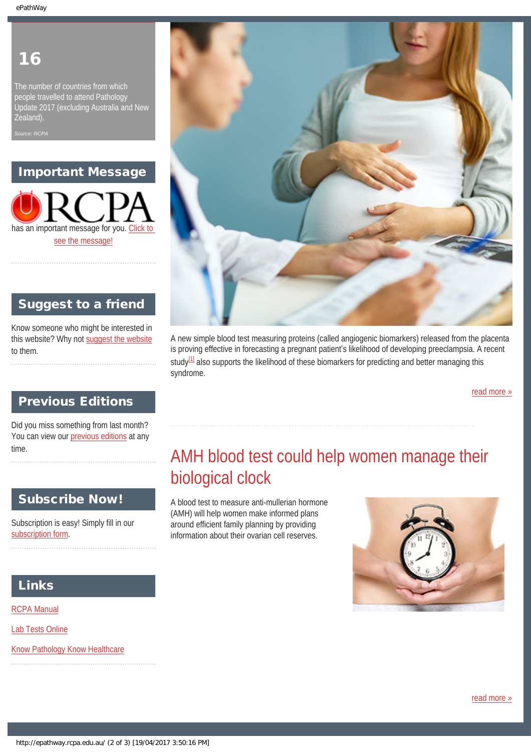## 16

The number of countries from which people travelled to attend Pathology Update 2017 (excluding Australia and New Zealand).

*Source: RCPA*

### Important Message

has an important message for you. Click to [see the message!](http://epathway.rcpa.edu.au/notice.html)



### Suggest to a friend

Know someone who might be interested in this website? Why not [suggest the website](mailto:?Subject=I%20think%20you%20should%20read%20this%20Newsletter=
http://epathway.rcpa.edu.au/index.html) to them.

### A new simple blood test measuring proteins (called angiogenic biomarkers) released from the placenta is proving effective in forecasting a pregnant patient's likelihood of developing preeclampsia. A recent study<sup>[1]</sup> also supports the likelihood of these biomarkers for predicting and better managing this syndrome.

[read more »](#page-6-0)

### Previous Editions

Did you miss something from last month? You can view our [previous editions](#page-3-0) at any time.

### Subscribe Now!

Subscription is easy! Simply fill in our [subscription form](http://epathway.rcpa.edu.au/subscription.html).

## AMH blood test could help women manage their biological clock

A blood test to measure anti-mullerian hormone (AMH) will help women make informed plans around efficient family planning by providing information about their ovarian cell reserves.



### Links

[RCPA Manual](http://rcpamanual.edu.au/)

[Lab Tests Online](http://www.labtestsonline.org.au/)

[Know Pathology Know Healthcare](http://knowpathology.com.au/)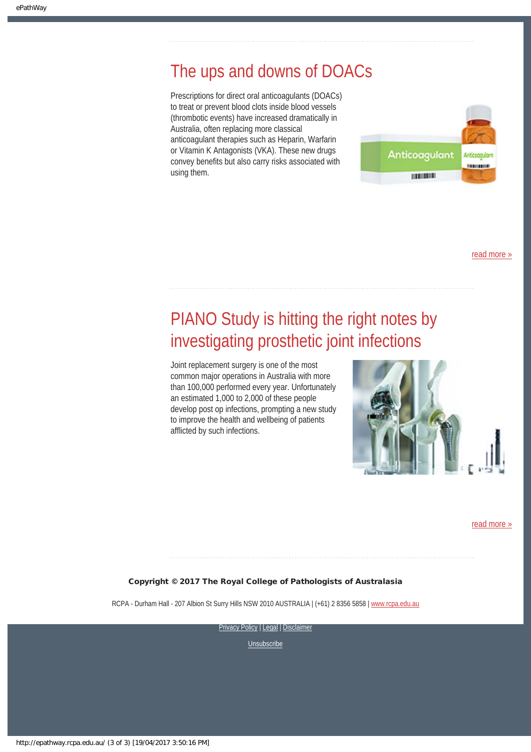## The ups and downs of DOACs

Prescriptions for direct oral anticoagulants (DOACs) to treat or prevent blood clots inside blood vessels (thrombotic events) have increased dramatically in Australia, often replacing more classical anticoagulant therapies such as Heparin, Warfarin or Vitamin K Antagonists (VKA). These new drugs convey benefits but also carry risks associated with using them.



[read more »](#page-10-0)

## PIANO Study is hitting the right notes by investigating prosthetic joint infections

Joint replacement surgery is one of the most common major operations in Australia with more than 100,000 performed every year. Unfortunately an estimated 1,000 to 2,000 of these people develop post op infections, prompting a new study to improve the health and wellbeing of patients afflicted by such infections.



[read more »](#page-12-0)

#### Copyright © 2017 The Royal College of Pathologists of Australasia

RCPA - Durham Hall - 207 Albion St Surry Hills NSW 2010 AUSTRALIA | (+61) 2 8356 5858 | [www.rcpa.edu.au](https://www.rcpa.edu.au/)

[Privacy Policy](https://www.rcpa.edu.au/Privacy-Policy.aspx) | [Legal](https://www.rcpa.edu.au/Legal.aspx) | Disclaimer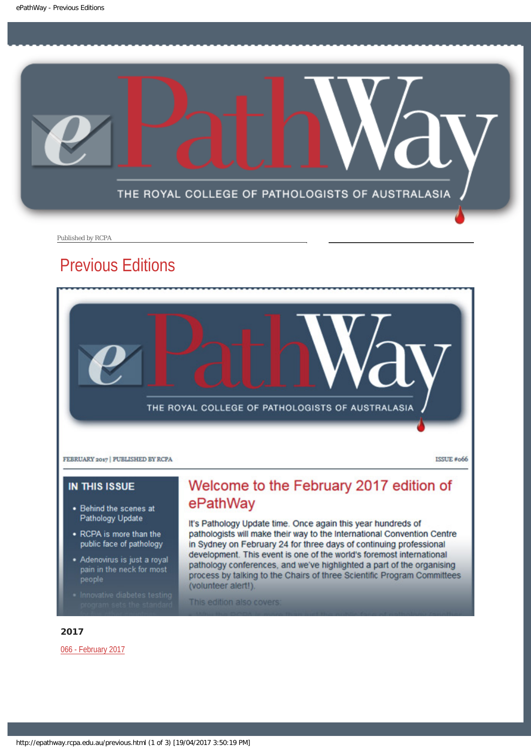<span id="page-3-0"></span>

Published by RCPA

## Previous Editions



**ISSUE #066** 

### **IN THIS ISSUE**

- . Behind the scenes at Pathology Update
- RCPA is more than the public face of pathology
- Adenovirus is just a royal pain in the neck for most people
- 

## Welcome to the February 2017 edition of ePathWay

It's Pathology Update time. Once again this year hundreds of pathologists will make their way to the International Convention Centre in Sydney on February 24 for three days of continuing professional development. This event is one of the world's foremost international pathology conferences, and we've highlighted a part of the organising process by talking to the Chairs of three Scientific Program Committees (volunteer alert!).

This edition also covers:

#### 2017

[066 - February 2017](http://epathway.rcpa.edu.au/previous/066_0217.pdf)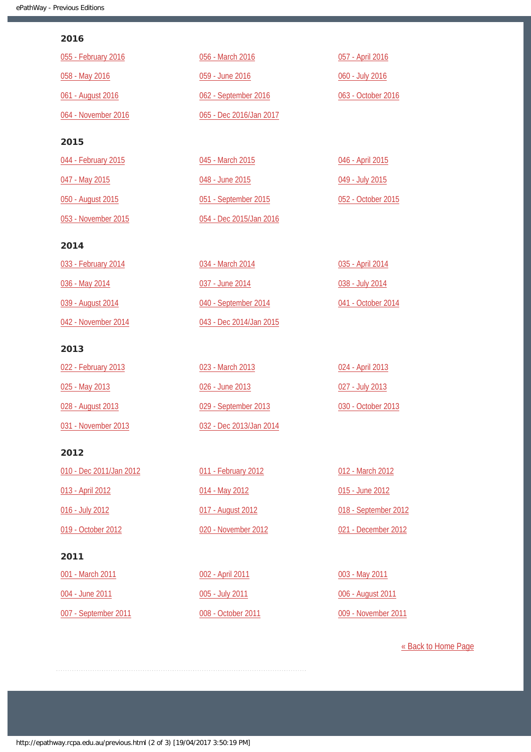#### 2016

| 055 - February 2016 | 056 - March 2016        | 057 - April 2016   |
|---------------------|-------------------------|--------------------|
| 058 - May 2016      | 059 - June 2016         | 060 - July 2016    |
| 061 - August 2016   | 062 - September 2016    | 063 - October 2016 |
| 064 - November 2016 | 065 - Dec 2016/Jan 2017 |                    |
| 2015                |                         |                    |
| 044 - February 2015 | 045 - March 2015        | 046 - April 2015   |
| 047 - May 2015      | 048 - June 2015         | 049 - July 2015    |
| 050 - August 2015   | 051 - September 2015    | 052 - October 2015 |

#### 2014

[053 - November 2015](http://epathway.rcpa.edu.au/previous/053_1115.pdf)

| 033 - February 2014 | 034 - March 2014        | 035 - April 2014   |
|---------------------|-------------------------|--------------------|
| 036 - May 2014      | 037 - June 2014         | 038 - July 2014    |
| 039 - August 2014   | 040 - September 2014    | 041 - October 2014 |
| 042 - November 2014 | 043 - Dec 2014/Jan 2015 |                    |

[054 - Dec 2015/Jan 2016](http://epathway.rcpa.edu.au/previous/054_1215.pdf)

#### 2013

| 022 - February 2013 | 023 - March 2013        | 024 - April 2013   |
|---------------------|-------------------------|--------------------|
| 025 - May 2013      | 026 - June 2013         | 027 - July 2013    |
| 028 - August 2013   | 029 - September 2013    | 030 - October 2013 |
| 031 - November 2013 | 032 - Dec 2013/Jan 2014 |                    |

#### 2012

| 010 - Dec 2011/Jan 2012 |
|-------------------------|
| 013 - April 2012        |
| 016 - July 2012         |
| 019 - October 2012      |
|                         |

### 2011

[001 - March 2011](http://epathway.rcpa.edu.au/previous/001_0311.pdf) [004 - June 2011](http://epathway.rcpa.edu.au/previous/004_0611.pdf) [007 - September 2011](http://epathway.rcpa.edu.au/previous/007_0911.pdf) [011 - February 2012](http://epathway.rcpa.edu.au/previous/011_0212.pdf) [014 - May 2012](http://epathway.rcpa.edu.au/previous/014_0512.pdf) [017 - August 2012](http://epathway.rcpa.edu.au/previous/017_0812.pdf) [020 - November 2012](http://epathway.rcpa.edu.au/previous/020_1112.pdf)

[002 - April 2011](http://epathway.rcpa.edu.au/previous/002_0411.pdf) [005 - July 2011](http://epathway.rcpa.edu.au/previous/005_0711.pdf) [008 - October 2011](http://epathway.rcpa.edu.au/previous/008_1011.pdf)

[012 - March 2012](http://epathway.rcpa.edu.au/previous/012_0312.pdf) [015 - June 2012](http://epathway.rcpa.edu.au/previous/015_0612.pdf) [018 - September 2012](http://epathway.rcpa.edu.au/previous/018_0912.pdf) [021 - December 2012](http://epathway.rcpa.edu.au/previous/021_1212.pdf)

[003 - May 2011](http://epathway.rcpa.edu.au/previous/003_0511.pdf) [006 - August 2011](http://epathway.rcpa.edu.au/previous/006_0811.pdf) [009 - November 2011](http://epathway.rcpa.edu.au/previous/009_1111.pdf)

[« Back to Home Page](http://epathway.rcpa.edu.au/index.html)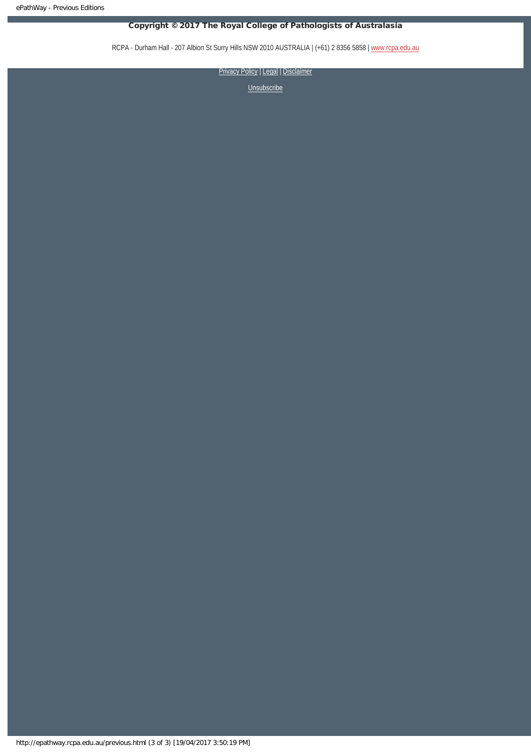### Copyright © 2017 The Royal College of Pathologists of Australasia

RCPA - Durham Hall - 207 Albion St Surry Hills NSW 2010 AUSTRALIA | (+61) 2 8356 5858 | [www.rcpa.edu.au](https://www.rcpa.edu.au/)

[Privacy Policy](https://www.rcpa.edu.au/Content-Library/Privacy.aspx) | [Legal](https://www.rcpa.edu.au/Legal.aspx) | Disclaimer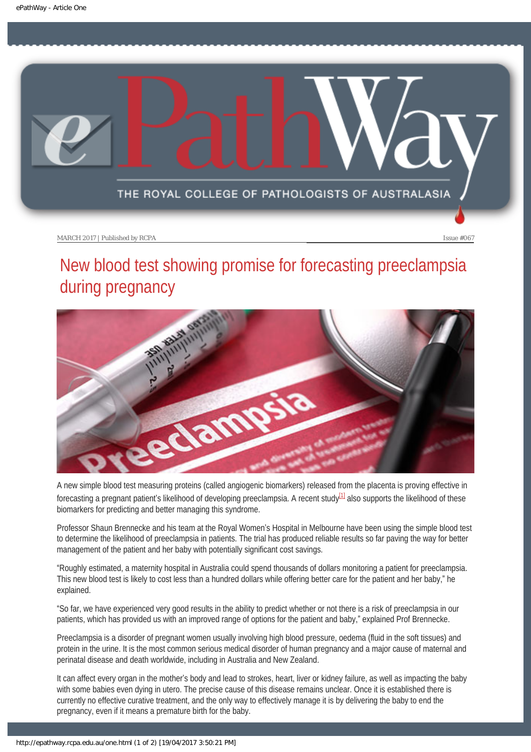<span id="page-6-0"></span>

# New blood test showing promise for forecasting preeclampsia during pregnancy



<span id="page-6-1"></span>A new simple blood test measuring proteins (called angiogenic biomarkers) released from the placenta is proving effective in forecasting a pregnant patient's likelihood of developing preeclampsia. A recent study<sup>[1]</sup> also supports the likelihood of these biomarkers for predicting and better managing this syndrome.

Professor Shaun Brennecke and his team at the Royal Women's Hospital in Melbourne have been using the simple blood test to determine the likelihood of preeclampsia in patients. The trial has produced reliable results so far paving the way for better management of the patient and her baby with potentially significant cost savings.

"Roughly estimated, a maternity hospital in Australia could spend thousands of dollars monitoring a patient for preeclampsia. This new blood test is likely to cost less than a hundred dollars while offering better care for the patient and her baby," he explained.

"So far, we have experienced very good results in the ability to predict whether or not there is a risk of preeclampsia in our patients, which has provided us with an improved range of options for the patient and baby," explained Prof Brennecke.

Preeclampsia is a disorder of pregnant women usually involving high blood pressure, oedema (fluid in the soft tissues) and protein in the urine. It is the most common serious medical disorder of human pregnancy and a major cause of maternal and perinatal disease and death worldwide, including in Australia and New Zealand.

It can affect every organ in the mother's body and lead to strokes, heart, liver or kidney failure, as well as impacting the baby with some babies even dying in utero. The precise cause of this disease remains unclear. Once it is established there is currently no effective curative treatment, and the only way to effectively manage it is by delivering the baby to end the pregnancy, even if it means a premature birth for the baby.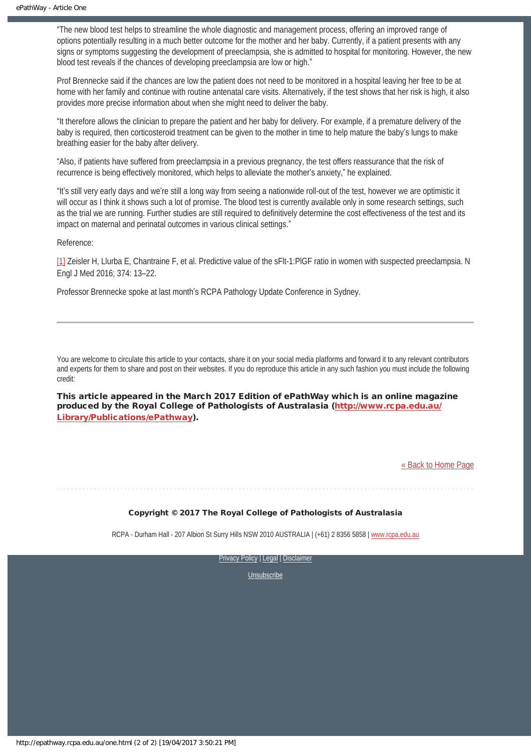"The new blood test helps to streamline the whole diagnostic and management process, offering an improved range of options potentially resulting in a much better outcome for the mother and her baby. Currently, if a patient presents with any signs or symptoms suggesting the development of preeclampsia, she is admitted to hospital for monitoring. However, the new blood test reveals if the chances of developing preeclampsia are low or high."

Prof Brennecke said if the chances are low the patient does not need to be monitored in a hospital leaving her free to be at home with her family and continue with routine antenatal care visits. Alternatively, if the test shows that her risk is high, it also provides more precise information about when she might need to deliver the baby.

"It therefore allows the clinician to prepare the patient and her baby for delivery. For example, if a premature delivery of the baby is required, then corticosteroid treatment can be given to the mother in time to help mature the baby's lungs to make breathing easier for the baby after delivery.

"Also, if patients have suffered from preeclampsia in a previous pregnancy, the test offers reassurance that the risk of recurrence is being effectively monitored, which helps to alleviate the mother's anxiety," he explained.

"It's still very early days and we're still a long way from seeing a nationwide roll-out of the test, however we are optimistic it will occur as I think it shows such a lot of promise. The blood test is currently available only in some research settings, such as the trial we are running. Further studies are still required to definitively determine the cost effectiveness of the test and its impact on maternal and perinatal outcomes in various clinical settings."

Reference:

<span id="page-7-0"></span>[\[1\]](#page-6-1) Zeisler H, Llurba E, Chantraine F, et al. Predictive value of the sFlt-1:PlGF ratio in women with suspected preeclampsia. N Engl J Med 2016; 374: 13–22.

Professor Brennecke spoke at last month's RCPA Pathology Update Conference in Sydney.

You are welcome to circulate this article to your contacts, share it on your social media platforms and forward it to any relevant contributors and experts for them to share and post on their websites. If you do reproduce this article in any such fashion you must include the following credit:

This article appeared in the March 2017 Edition of ePathWay which is an online magazine produced by the Royal College of Pathologists of Australasia ([http://www.rcpa.edu.au/](http://www.rcpa.edu.au/Library/Publications/ePathway) [Library/Publications/ePathway\)](http://www.rcpa.edu.au/Library/Publications/ePathway).

[« Back to Home Page](http://epathway.rcpa.edu.au/index.html)

Copyright © 2017 The Royal College of Pathologists of Australasia

RCPA - Durham Hall - 207 Albion St Surry Hills NSW 2010 AUSTRALIA | (+61) 2 8356 5858 | [www.rcpa.edu.au](https://www.rcpa.edu.au/)

[Privacy Policy](https://www.rcpa.edu.au/Content-Library/Privacy.aspx) | [Legal](https://www.rcpa.edu.au/Legal.aspx) | Disclaimer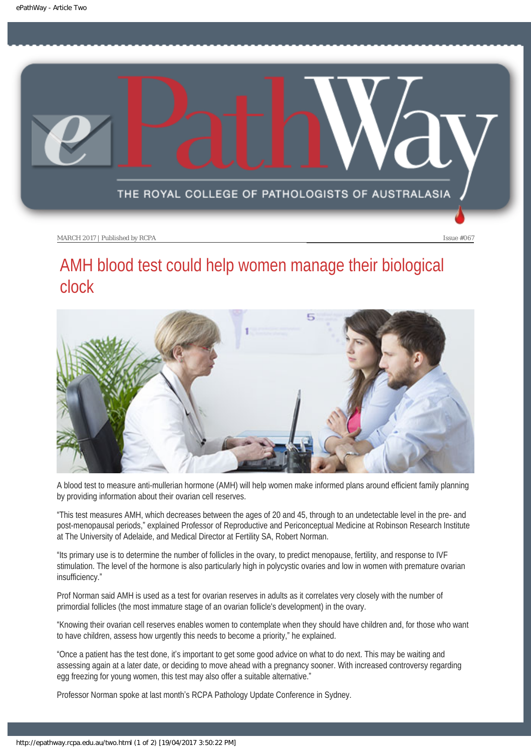<span id="page-8-0"></span>

## AMH blood test could help women manage their biological clock



A blood test to measure anti-mullerian hormone (AMH) will help women make informed plans around efficient family planning by providing information about their ovarian cell reserves.

"This test measures AMH, which decreases between the ages of 20 and 45, through to an undetectable level in the pre- and post-menopausal periods," explained Professor of Reproductive and Periconceptual Medicine at Robinson Research Institute at The University of Adelaide, and Medical Director at Fertility SA, Robert Norman.

"Its primary use is to determine the number of follicles in the ovary, to predict menopause, fertility, and response to IVF stimulation. The level of the hormone is also particularly high in polycystic ovaries and low in women with premature ovarian insufficiency."

Prof Norman said AMH is used as a test for ovarian reserves in adults as it correlates very closely with the number of primordial follicles (the most immature stage of an ovarian follicle's development) in the ovary.

"Knowing their ovarian cell reserves enables women to contemplate when they should have children and, for those who want to have children, assess how urgently this needs to become a priority," he explained.

"Once a patient has the test done, it's important to get some good advice on what to do next. This may be waiting and assessing again at a later date, or deciding to move ahead with a pregnancy sooner. With increased controversy regarding egg freezing for young women, this test may also offer a suitable alternative."

Professor Norman spoke at last month's RCPA Pathology Update Conference in Sydney.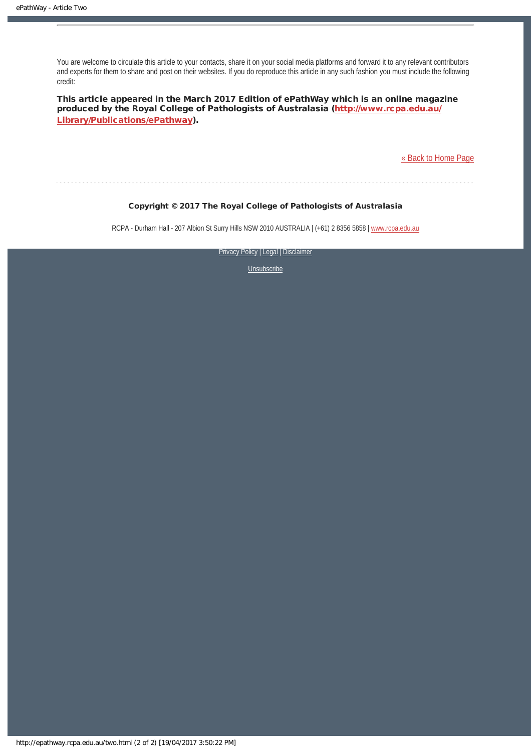You are welcome to circulate this article to your contacts, share it on your social media platforms and forward it to any relevant contributors and experts for them to share and post on their websites. If you do reproduce this article in any such fashion you must include the following credit:

This article appeared in the March 2017 Edition of ePathWay which is an online magazine produced by the Royal College of Pathologists of Australasia ([http://www.rcpa.edu.au/](http://www.rcpa.edu.au/Library/Publications/ePathway) [Library/Publications/ePathway\)](http://www.rcpa.edu.au/Library/Publications/ePathway).

[« Back to Home Page](http://epathway.rcpa.edu.au/index.html)

#### Copyright © 2017 The Royal College of Pathologists of Australasia

RCPA - Durham Hall - 207 Albion St Surry Hills NSW 2010 AUSTRALIA | (+61) 2 8356 5858 | [www.rcpa.edu.au](https://www.rcpa.edu.au/)

[Privacy Policy](https://www.rcpa.edu.au/Content-Library/Privacy.aspx) | [Legal](https://www.rcpa.edu.au/Legal.aspx) | Disclaimer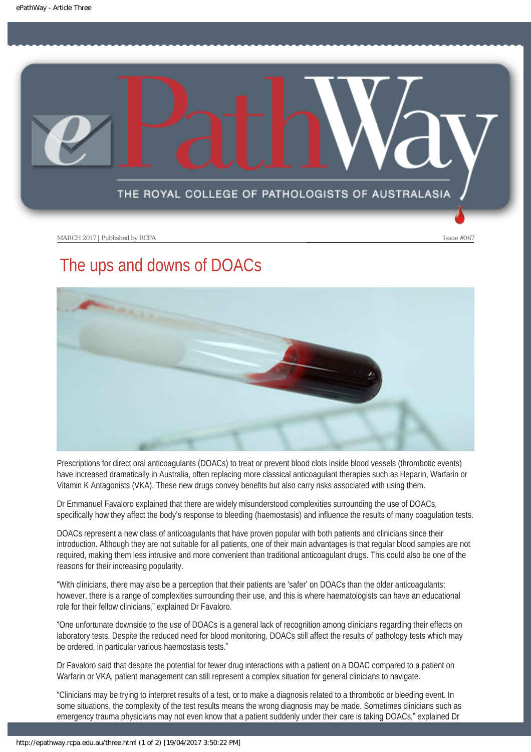<span id="page-10-0"></span>

## The ups and downs of DOACs



Prescriptions for direct oral anticoagulants (DOACs) to treat or prevent blood clots inside blood vessels (thrombotic events) have increased dramatically in Australia, often replacing more classical anticoagulant therapies such as Heparin, Warfarin or Vitamin K Antagonists (VKA). These new drugs convey benefits but also carry risks associated with using them.

Dr Emmanuel Favaloro explained that there are widely misunderstood complexities surrounding the use of DOACs, specifically how they affect the body's response to bleeding (haemostasis) and influence the results of many coagulation tests.

DOACs represent a new class of anticoagulants that have proven popular with both patients and clinicians since their introduction. Although they are not suitable for all patients, one of their main advantages is that regular blood samples are not required, making them less intrusive and more convenient than traditional anticoagulant drugs. This could also be one of the reasons for their increasing popularity.

"With clinicians, there may also be a perception that their patients are 'safer' on DOACs than the older anticoagulants; however, there is a range of complexities surrounding their use, and this is where haematologists can have an educational role for their fellow clinicians," explained Dr Favaloro.

"One unfortunate downside to the use of DOACs is a general lack of recognition among clinicians regarding their effects on laboratory tests. Despite the reduced need for blood monitoring, DOACs still affect the results of pathology tests which may be ordered, in particular various haemostasis tests."

Dr Favaloro said that despite the potential for fewer drug interactions with a patient on a DOAC compared to a patient on Warfarin or VKA, patient management can still represent a complex situation for general clinicians to navigate.

"Clinicians may be trying to interpret results of a test, or to make a diagnosis related to a thrombotic or bleeding event. In some situations, the complexity of the test results means the wrong diagnosis may be made. Sometimes clinicians such as emergency trauma physicians may not even know that a patient suddenly under their care is taking DOACs," explained Dr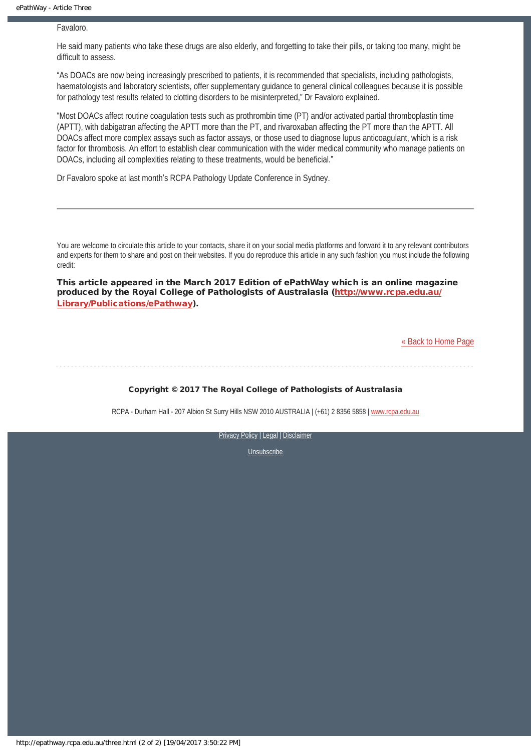Favaloro.

He said many patients who take these drugs are also elderly, and forgetting to take their pills, or taking too many, might be difficult to assess.

"As DOACs are now being increasingly prescribed to patients, it is recommended that specialists, including pathologists, haematologists and laboratory scientists, offer supplementary guidance to general clinical colleagues because it is possible for pathology test results related to clotting disorders to be misinterpreted," Dr Favaloro explained.

"Most DOACs affect routine coagulation tests such as prothrombin time (PT) and/or activated partial thromboplastin time (APTT), with dabigatran affecting the APTT more than the PT, and rivaroxaban affecting the PT more than the APTT. All DOACs affect more complex assays such as factor assays, or those used to diagnose lupus anticoagulant, which is a risk factor for thrombosis. An effort to establish clear communication with the wider medical community who manage patients on DOACs, including all complexities relating to these treatments, would be beneficial."

Dr Favaloro spoke at last month's RCPA Pathology Update Conference in Sydney.

You are welcome to circulate this article to your contacts, share it on your social media platforms and forward it to any relevant contributors and experts for them to share and post on their websites. If you do reproduce this article in any such fashion you must include the following credit:

This article appeared in the March 2017 Edition of ePathWay which is an online magazine produced by the Royal College of Pathologists of Australasia ([http://www.rcpa.edu.au/](http://www.rcpa.edu.au/Library/Publications/ePathway) [Library/Publications/ePathway\)](http://www.rcpa.edu.au/Library/Publications/ePathway).

[« Back to Home Page](http://epathway.rcpa.edu.au/index.html)

Copyright © 2017 The Royal College of Pathologists of Australasia

RCPA - Durham Hall - 207 Albion St Surry Hills NSW 2010 AUSTRALIA | (+61) 2 8356 5858 | [www.rcpa.edu.au](https://www.rcpa.edu.au/)

[Privacy Policy](https://www.rcpa.edu.au/Content-Library/Privacy.aspx) | [Legal](https://www.rcpa.edu.au/Legal.aspx) | [Disclaimer](https://www.rcpa.edu.au/Disclaimer.aspx)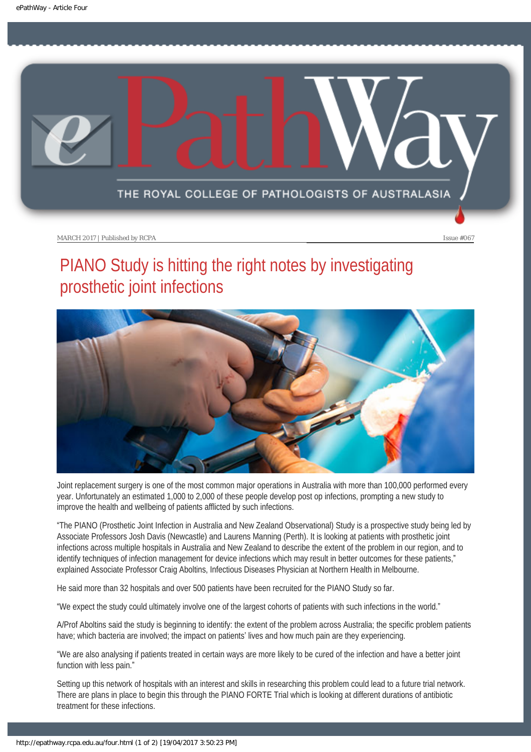<span id="page-12-0"></span>

# PIANO Study is hitting the right notes by investigating prosthetic joint infections



Joint replacement surgery is one of the most common major operations in Australia with more than 100,000 performed every year. Unfortunately an estimated 1,000 to 2,000 of these people develop post op infections, prompting a new study to improve the health and wellbeing of patients afflicted by such infections.

"The PIANO (Prosthetic Joint Infection in Australia and New Zealand Observational) Study is a prospective study being led by Associate Professors Josh Davis (Newcastle) and Laurens Manning (Perth). It is looking at patients with prosthetic joint infections across multiple hospitals in Australia and New Zealand to describe the extent of the problem in our region, and to identify techniques of infection management for device infections which may result in better outcomes for these patients," explained Associate Professor Craig Aboltins, Infectious Diseases Physician at Northern Health in Melbourne.

He said more than 32 hospitals and over 500 patients have been recruited for the PIANO Study so far.

"We expect the study could ultimately involve one of the largest cohorts of patients with such infections in the world."

A/Prof Aboltins said the study is beginning to identify: the extent of the problem across Australia; the specific problem patients have; which bacteria are involved; the impact on patients' lives and how much pain are they experiencing.

"We are also analysing if patients treated in certain ways are more likely to be cured of the infection and have a better joint function with less pain."

Setting up this network of hospitals with an interest and skills in researching this problem could lead to a future trial network. There are plans in place to begin this through the PIANO FORTE Trial which is looking at different durations of antibiotic treatment for these infections.